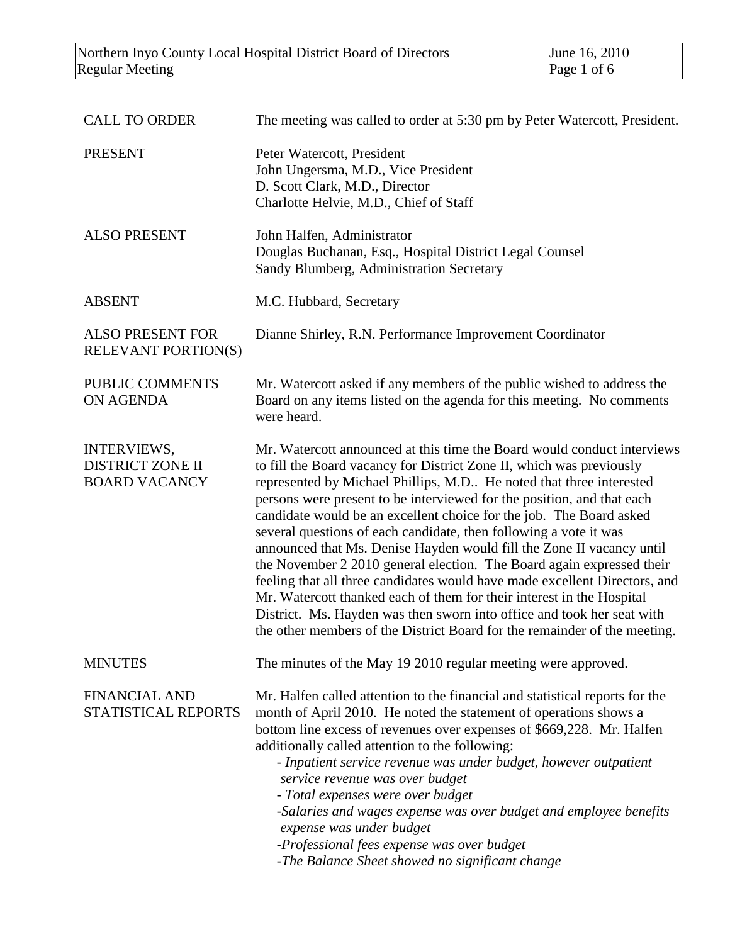| <b>CALL TO ORDER</b>                                                  | The meeting was called to order at 5:30 pm by Peter Watercott, President.                                                                                                                                                                                                                                                                                                                                                                                                                                                                                                                                                                                                                                                                                                                                                                                                                                    |
|-----------------------------------------------------------------------|--------------------------------------------------------------------------------------------------------------------------------------------------------------------------------------------------------------------------------------------------------------------------------------------------------------------------------------------------------------------------------------------------------------------------------------------------------------------------------------------------------------------------------------------------------------------------------------------------------------------------------------------------------------------------------------------------------------------------------------------------------------------------------------------------------------------------------------------------------------------------------------------------------------|
| <b>PRESENT</b>                                                        | Peter Watercott, President<br>John Ungersma, M.D., Vice President<br>D. Scott Clark, M.D., Director<br>Charlotte Helvie, M.D., Chief of Staff                                                                                                                                                                                                                                                                                                                                                                                                                                                                                                                                                                                                                                                                                                                                                                |
| <b>ALSO PRESENT</b>                                                   | John Halfen, Administrator<br>Douglas Buchanan, Esq., Hospital District Legal Counsel<br>Sandy Blumberg, Administration Secretary                                                                                                                                                                                                                                                                                                                                                                                                                                                                                                                                                                                                                                                                                                                                                                            |
| <b>ABSENT</b>                                                         | M.C. Hubbard, Secretary                                                                                                                                                                                                                                                                                                                                                                                                                                                                                                                                                                                                                                                                                                                                                                                                                                                                                      |
| <b>ALSO PRESENT FOR</b><br>RELEVANT PORTION(S)                        | Dianne Shirley, R.N. Performance Improvement Coordinator                                                                                                                                                                                                                                                                                                                                                                                                                                                                                                                                                                                                                                                                                                                                                                                                                                                     |
| PUBLIC COMMENTS<br><b>ON AGENDA</b>                                   | Mr. Watercott asked if any members of the public wished to address the<br>Board on any items listed on the agenda for this meeting. No comments<br>were heard.                                                                                                                                                                                                                                                                                                                                                                                                                                                                                                                                                                                                                                                                                                                                               |
| <b>INTERVIEWS,</b><br><b>DISTRICT ZONE II</b><br><b>BOARD VACANCY</b> | Mr. Watercott announced at this time the Board would conduct interviews<br>to fill the Board vacancy for District Zone II, which was previously<br>represented by Michael Phillips, M.D He noted that three interested<br>persons were present to be interviewed for the position, and that each<br>candidate would be an excellent choice for the job. The Board asked<br>several questions of each candidate, then following a vote it was<br>announced that Ms. Denise Hayden would fill the Zone II vacancy until<br>the November 2 2010 general election. The Board again expressed their<br>feeling that all three candidates would have made excellent Directors, and<br>Mr. Watercott thanked each of them for their interest in the Hospital<br>District. Ms. Hayden was then sworn into office and took her seat with<br>the other members of the District Board for the remainder of the meeting. |
| <b>MINUTES</b>                                                        | The minutes of the May 19 2010 regular meeting were approved.                                                                                                                                                                                                                                                                                                                                                                                                                                                                                                                                                                                                                                                                                                                                                                                                                                                |
| <b>FINANCIAL AND</b><br>STATISTICAL REPORTS                           | Mr. Halfen called attention to the financial and statistical reports for the<br>month of April 2010. He noted the statement of operations shows a<br>bottom line excess of revenues over expenses of \$669,228. Mr. Halfen<br>additionally called attention to the following:<br>- Inpatient service revenue was under budget, however outpatient<br>service revenue was over budget<br>- Total expenses were over budget<br>-Salaries and wages expense was over budget and employee benefits<br>expense was under budget<br>-Professional fees expense was over budget<br>-The Balance Sheet showed no significant change                                                                                                                                                                                                                                                                                  |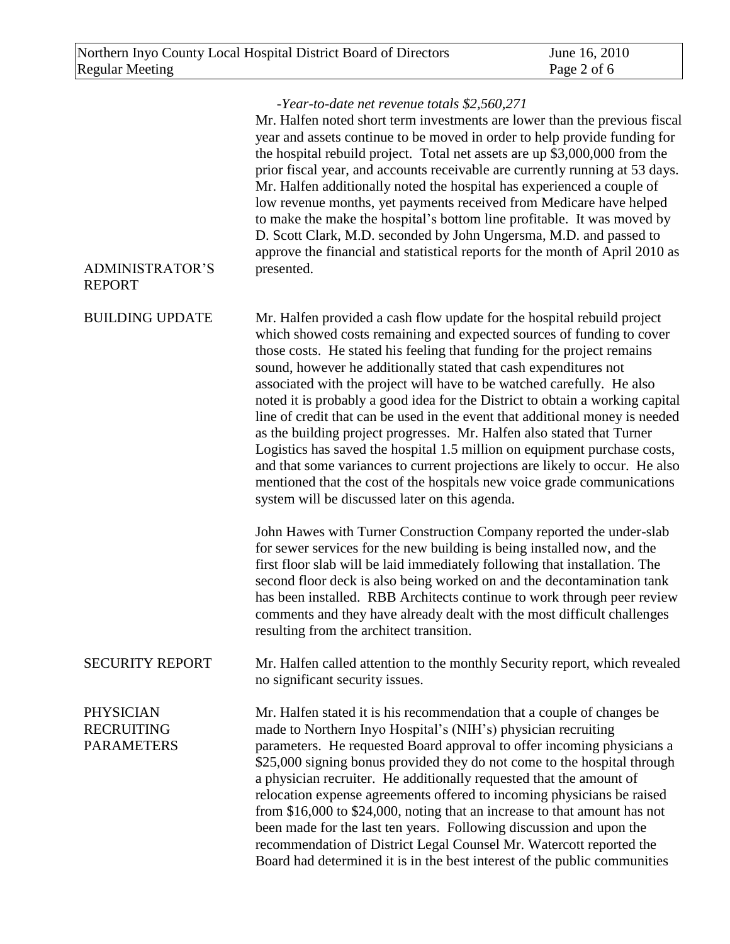| <b>ADMINISTRATOR'S</b><br><b>REPORT</b>                    | -Year-to-date net revenue totals \$2,560,271<br>Mr. Halfen noted short term investments are lower than the previous fiscal<br>year and assets continue to be moved in order to help provide funding for<br>the hospital rebuild project. Total net assets are up \$3,000,000 from the<br>prior fiscal year, and accounts receivable are currently running at 53 days.<br>Mr. Halfen additionally noted the hospital has experienced a couple of<br>low revenue months, yet payments received from Medicare have helped<br>to make the make the hospital's bottom line profitable. It was moved by<br>D. Scott Clark, M.D. seconded by John Ungersma, M.D. and passed to<br>approve the financial and statistical reports for the month of April 2010 as<br>presented.                                                                                                                                         |
|------------------------------------------------------------|---------------------------------------------------------------------------------------------------------------------------------------------------------------------------------------------------------------------------------------------------------------------------------------------------------------------------------------------------------------------------------------------------------------------------------------------------------------------------------------------------------------------------------------------------------------------------------------------------------------------------------------------------------------------------------------------------------------------------------------------------------------------------------------------------------------------------------------------------------------------------------------------------------------|
| <b>BUILDING UPDATE</b>                                     | Mr. Halfen provided a cash flow update for the hospital rebuild project<br>which showed costs remaining and expected sources of funding to cover<br>those costs. He stated his feeling that funding for the project remains<br>sound, however he additionally stated that cash expenditures not<br>associated with the project will have to be watched carefully. He also<br>noted it is probably a good idea for the District to obtain a working capital<br>line of credit that can be used in the event that additional money is needed<br>as the building project progresses. Mr. Halfen also stated that Turner<br>Logistics has saved the hospital 1.5 million on equipment purchase costs,<br>and that some variances to current projections are likely to occur. He also<br>mentioned that the cost of the hospitals new voice grade communications<br>system will be discussed later on this agenda. |
|                                                            | John Hawes with Turner Construction Company reported the under-slab<br>for sewer services for the new building is being installed now, and the<br>first floor slab will be laid immediately following that installation. The<br>second floor deck is also being worked on and the decontamination tank<br>has been installed. RBB Architects continue to work through peer review<br>comments and they have already dealt with the most difficult challenges<br>resulting from the architect transition.                                                                                                                                                                                                                                                                                                                                                                                                      |
| <b>SECURITY REPORT</b>                                     | Mr. Halfen called attention to the monthly Security report, which revealed<br>no significant security issues.                                                                                                                                                                                                                                                                                                                                                                                                                                                                                                                                                                                                                                                                                                                                                                                                 |
| <b>PHYSICIAN</b><br><b>RECRUITING</b><br><b>PARAMETERS</b> | Mr. Halfen stated it is his recommendation that a couple of changes be<br>made to Northern Inyo Hospital's (NIH's) physician recruiting<br>parameters. He requested Board approval to offer incoming physicians a<br>\$25,000 signing bonus provided they do not come to the hospital through<br>a physician recruiter. He additionally requested that the amount of<br>relocation expense agreements offered to incoming physicians be raised<br>from \$16,000 to \$24,000, noting that an increase to that amount has not<br>been made for the last ten years. Following discussion and upon the<br>recommendation of District Legal Counsel Mr. Watercott reported the<br>Board had determined it is in the best interest of the public communities                                                                                                                                                        |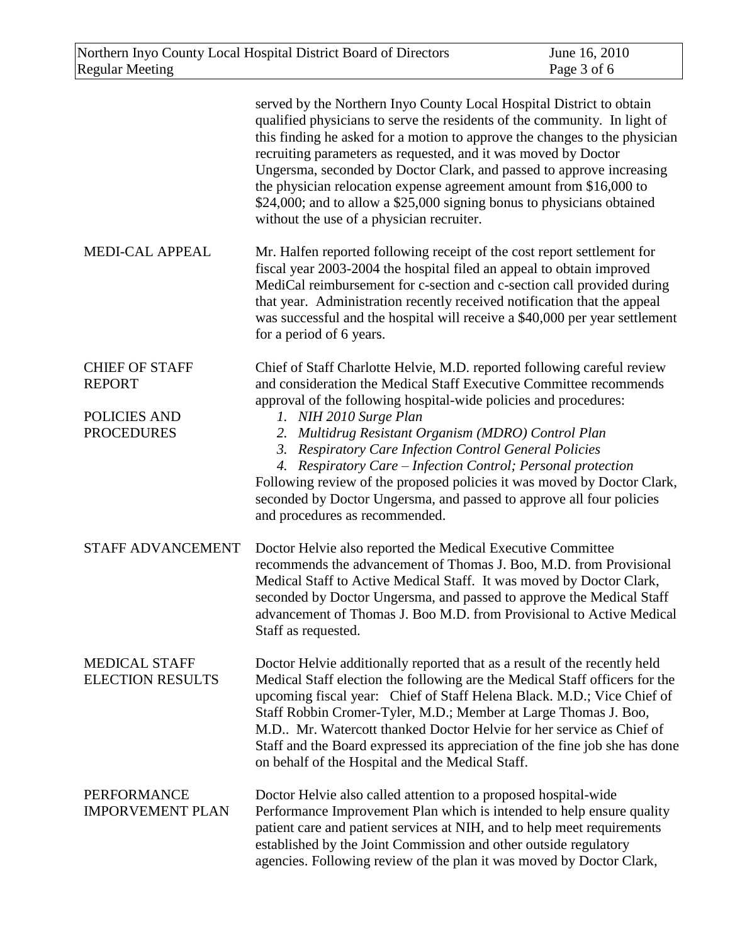|                                                                             | served by the Northern Inyo County Local Hospital District to obtain<br>qualified physicians to serve the residents of the community. In light of<br>this finding he asked for a motion to approve the changes to the physician<br>recruiting parameters as requested, and it was moved by Doctor<br>Ungersma, seconded by Doctor Clark, and passed to approve increasing<br>the physician relocation expense agreement amount from \$16,000 to<br>\$24,000; and to allow a \$25,000 signing bonus to physicians obtained<br>without the use of a physician recruiter.                                            |
|-----------------------------------------------------------------------------|-------------------------------------------------------------------------------------------------------------------------------------------------------------------------------------------------------------------------------------------------------------------------------------------------------------------------------------------------------------------------------------------------------------------------------------------------------------------------------------------------------------------------------------------------------------------------------------------------------------------|
| <b>MEDI-CAL APPEAL</b>                                                      | Mr. Halfen reported following receipt of the cost report settlement for<br>fiscal year 2003-2004 the hospital filed an appeal to obtain improved<br>MediCal reimbursement for c-section and c-section call provided during<br>that year. Administration recently received notification that the appeal<br>was successful and the hospital will receive a \$40,000 per year settlement<br>for a period of 6 years.                                                                                                                                                                                                 |
| <b>CHIEF OF STAFF</b><br><b>REPORT</b><br>POLICIES AND<br><b>PROCEDURES</b> | Chief of Staff Charlotte Helvie, M.D. reported following careful review<br>and consideration the Medical Staff Executive Committee recommends<br>approval of the following hospital-wide policies and procedures:<br>1. NIH 2010 Surge Plan<br>2. Multidrug Resistant Organism (MDRO) Control Plan<br>3. Respiratory Care Infection Control General Policies<br>4. Respiratory Care - Infection Control; Personal protection<br>Following review of the proposed policies it was moved by Doctor Clark,<br>seconded by Doctor Ungersma, and passed to approve all four policies<br>and procedures as recommended. |
| STAFF ADVANCEMENT                                                           | Doctor Helvie also reported the Medical Executive Committee<br>recommends the advancement of Thomas J. Boo, M.D. from Provisional<br>Medical Staff to Active Medical Staff. It was moved by Doctor Clark,<br>seconded by Doctor Ungersma, and passed to approve the Medical Staff<br>advancement of Thomas J. Boo M.D. from Provisional to Active Medical<br>Staff as requested.                                                                                                                                                                                                                                  |
| <b>MEDICAL STAFF</b><br><b>ELECTION RESULTS</b>                             | Doctor Helvie additionally reported that as a result of the recently held<br>Medical Staff election the following are the Medical Staff officers for the<br>upcoming fiscal year: Chief of Staff Helena Black. M.D.; Vice Chief of<br>Staff Robbin Cromer-Tyler, M.D.; Member at Large Thomas J. Boo,<br>M.D Mr. Watercott thanked Doctor Helvie for her service as Chief of<br>Staff and the Board expressed its appreciation of the fine job she has done<br>on behalf of the Hospital and the Medical Staff.                                                                                                   |
| <b>PERFORMANCE</b><br><b>IMPORVEMENT PLAN</b>                               | Doctor Helvie also called attention to a proposed hospital-wide<br>Performance Improvement Plan which is intended to help ensure quality<br>patient care and patient services at NIH, and to help meet requirements<br>established by the Joint Commission and other outside regulatory<br>agencies. Following review of the plan it was moved by Doctor Clark,                                                                                                                                                                                                                                                   |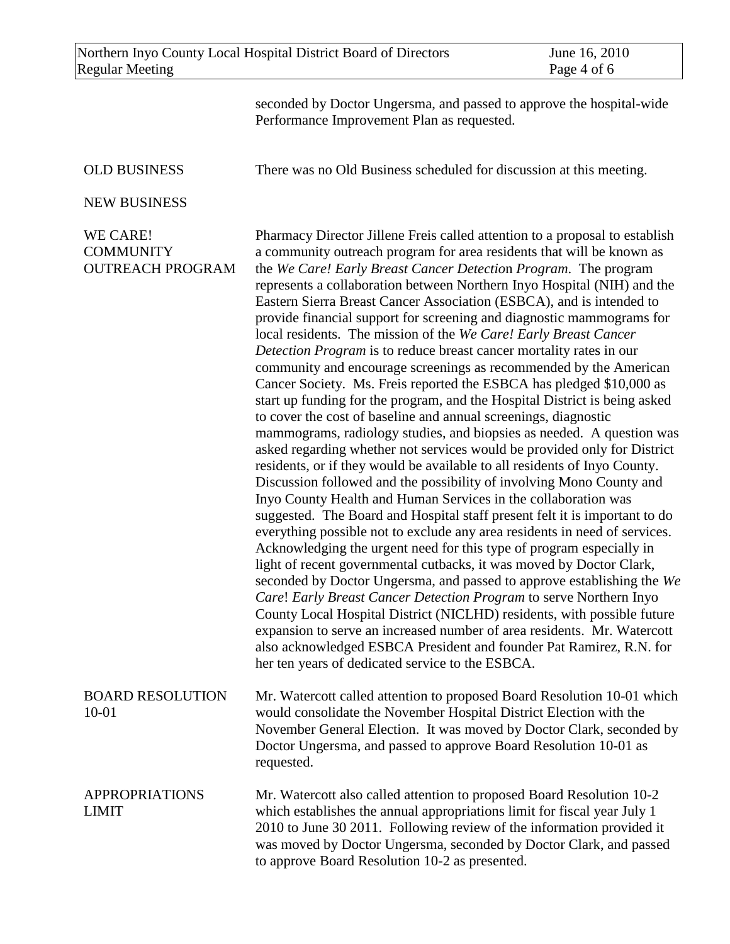| Northern Inyo County Local Hospital District Board of Directors | June 16, 2010 |
|-----------------------------------------------------------------|---------------|
| Regular Meeting                                                 | Page 4 of 6   |

seconded by Doctor Ungersma, and passed to approve the hospital-wide Performance Improvement Plan as requested.

There was no Old Business scheduled for discussion at this meeting.

## OLD BUSINESS

NEW BUSINESS

WE CARE! **COMMUNITY** OUTREACH PROGRAM Pharmacy Director Jillene Freis called attention to a proposal to establish a community outreach program for area residents that will be known as the *We Care! Early Breast Cancer Detectio*n *Program*. The program represents a collaboration between Northern Inyo Hospital (NIH) and the Eastern Sierra Breast Cancer Association (ESBCA), and is intended to provide financial support for screening and diagnostic mammograms for local residents. The mission of the *We Care! Early Breast Cancer Detection Program* is to reduce breast cancer mortality rates in our community and encourage screenings as recommended by the American Cancer Society. Ms. Freis reported the ESBCA has pledged \$10,000 as start up funding for the program, and the Hospital District is being asked to cover the cost of baseline and annual screenings, diagnostic mammograms, radiology studies, and biopsies as needed. A question was asked regarding whether not services would be provided only for District residents, or if they would be available to all residents of Inyo County. Discussion followed and the possibility of involving Mono County and Inyo County Health and Human Services in the collaboration was suggested. The Board and Hospital staff present felt it is important to do everything possible not to exclude any area residents in need of services. Acknowledging the urgent need for this type of program especially in light of recent governmental cutbacks, it was moved by Doctor Clark, seconded by Doctor Ungersma, and passed to approve establishing the *We Care*! *Early Breast Cancer Detection Program* to serve Northern Inyo County Local Hospital District (NICLHD) residents, with possible future expansion to serve an increased number of area residents. Mr. Watercott also acknowledged ESBCA President and founder Pat Ramirez, R.N. for her ten years of dedicated service to the ESBCA.

BOARD RESOLUTION 10-01 Mr. Watercott called attention to proposed Board Resolution 10-01 which would consolidate the November Hospital District Election with the November General Election. It was moved by Doctor Clark, seconded by Doctor Ungersma, and passed to approve Board Resolution 10-01 as requested.

APPROPRIATIONS LIMIT Mr. Watercott also called attention to proposed Board Resolution 10-2 which establishes the annual appropriations limit for fiscal year July 1 2010 to June 30 2011. Following review of the information provided it was moved by Doctor Ungersma, seconded by Doctor Clark, and passed to approve Board Resolution 10-2 as presented.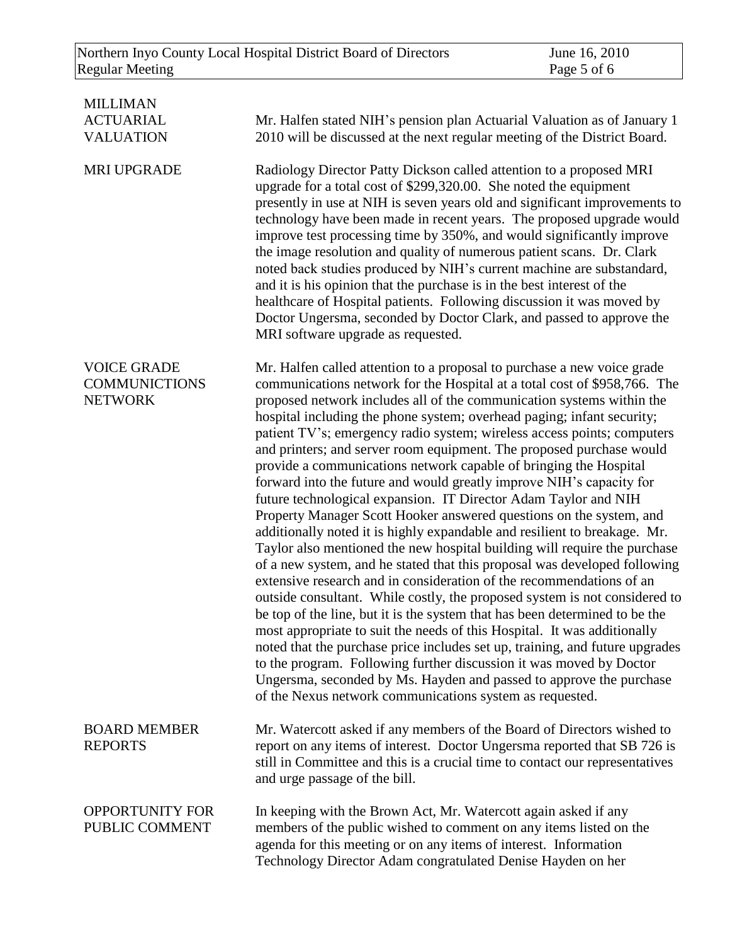| <b>MILLIMAN</b><br><b>ACTUARIAL</b><br><b>VALUATION</b>      | Mr. Halfen stated NIH's pension plan Actuarial Valuation as of January 1<br>2010 will be discussed at the next regular meeting of the District Board.                                                                                                                                                                                                                                                                                                                                                                                                                                                                                                                                                                                                                                                                                                                                                                                                                                                                                                                                                                                                                                                                                                                                                                                                                                                                                                                                                                                                                                               |
|--------------------------------------------------------------|-----------------------------------------------------------------------------------------------------------------------------------------------------------------------------------------------------------------------------------------------------------------------------------------------------------------------------------------------------------------------------------------------------------------------------------------------------------------------------------------------------------------------------------------------------------------------------------------------------------------------------------------------------------------------------------------------------------------------------------------------------------------------------------------------------------------------------------------------------------------------------------------------------------------------------------------------------------------------------------------------------------------------------------------------------------------------------------------------------------------------------------------------------------------------------------------------------------------------------------------------------------------------------------------------------------------------------------------------------------------------------------------------------------------------------------------------------------------------------------------------------------------------------------------------------------------------------------------------------|
| <b>MRI UPGRADE</b>                                           | Radiology Director Patty Dickson called attention to a proposed MRI<br>upgrade for a total cost of \$299,320.00. She noted the equipment<br>presently in use at NIH is seven years old and significant improvements to<br>technology have been made in recent years. The proposed upgrade would<br>improve test processing time by 350%, and would significantly improve<br>the image resolution and quality of numerous patient scans. Dr. Clark<br>noted back studies produced by NIH's current machine are substandard,<br>and it is his opinion that the purchase is in the best interest of the<br>healthcare of Hospital patients. Following discussion it was moved by<br>Doctor Ungersma, seconded by Doctor Clark, and passed to approve the<br>MRI software upgrade as requested.                                                                                                                                                                                                                                                                                                                                                                                                                                                                                                                                                                                                                                                                                                                                                                                                         |
| <b>VOICE GRADE</b><br><b>COMMUNICTIONS</b><br><b>NETWORK</b> | Mr. Halfen called attention to a proposal to purchase a new voice grade<br>communications network for the Hospital at a total cost of \$958,766. The<br>proposed network includes all of the communication systems within the<br>hospital including the phone system; overhead paging; infant security;<br>patient TV's; emergency radio system; wireless access points; computers<br>and printers; and server room equipment. The proposed purchase would<br>provide a communications network capable of bringing the Hospital<br>forward into the future and would greatly improve NIH's capacity for<br>future technological expansion. IT Director Adam Taylor and NIH<br>Property Manager Scott Hooker answered questions on the system, and<br>additionally noted it is highly expandable and resilient to breakage. Mr.<br>Taylor also mentioned the new hospital building will require the purchase<br>of a new system, and he stated that this proposal was developed following<br>extensive research and in consideration of the recommendations of an<br>outside consultant. While costly, the proposed system is not considered to<br>be top of the line, but it is the system that has been determined to be the<br>most appropriate to suit the needs of this Hospital. It was additionally<br>noted that the purchase price includes set up, training, and future upgrades<br>to the program. Following further discussion it was moved by Doctor<br>Ungersma, seconded by Ms. Hayden and passed to approve the purchase<br>of the Nexus network communications system as requested. |
| <b>BOARD MEMBER</b><br><b>REPORTS</b>                        | Mr. Watercott asked if any members of the Board of Directors wished to<br>report on any items of interest. Doctor Ungersma reported that SB 726 is<br>still in Committee and this is a crucial time to contact our representatives<br>and urge passage of the bill.                                                                                                                                                                                                                                                                                                                                                                                                                                                                                                                                                                                                                                                                                                                                                                                                                                                                                                                                                                                                                                                                                                                                                                                                                                                                                                                                 |
| <b>OPPORTUNITY FOR</b><br>PUBLIC COMMENT                     | In keeping with the Brown Act, Mr. Watercott again asked if any<br>members of the public wished to comment on any items listed on the<br>agenda for this meeting or on any items of interest. Information<br>Technology Director Adam congratulated Denise Hayden on her                                                                                                                                                                                                                                                                                                                                                                                                                                                                                                                                                                                                                                                                                                                                                                                                                                                                                                                                                                                                                                                                                                                                                                                                                                                                                                                            |